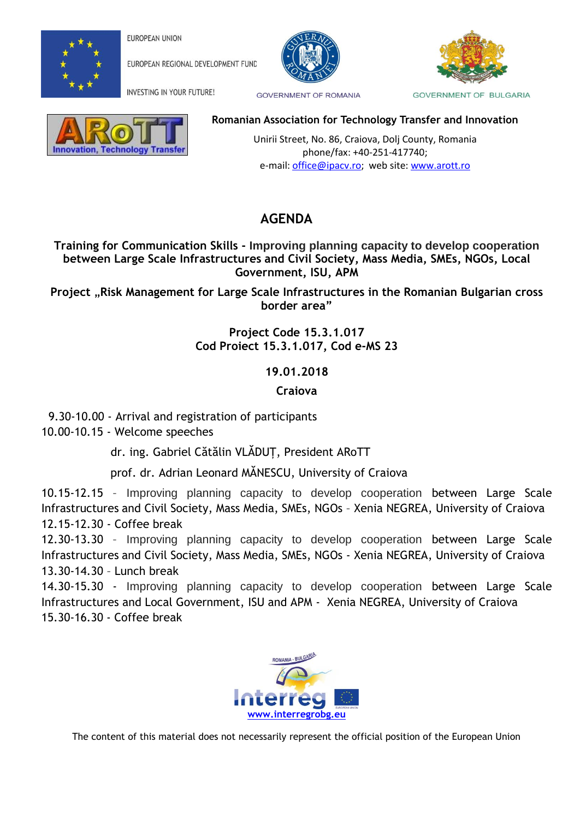

**EUROPEAN UNION** 

EUROPEAN REGIONAL DEVELOPMENT FUND

INVESTING IN YOUR FUTURE!





**GOVERNMENT OF ROMANIA** 

**GOVERNMENT OF BULGARIA** 



## **Romanian Association for Technology Transfer and Innovation**

 Unirii Street, No. 86, Craiova, Dolj County, Romania phone/fax: +40-251-417740; e-mail: [office@ipacv.ro;](mailto:office@ipacv.ro) web site: [www.arott.ro](http://www.arott.ro/)

## **AGENDA**

**Training for Communication Skills - Improving planning capacity to develop cooperation between Large Scale Infrastructures and Civil Society, Mass Media, SMEs, NGOs, Local Government, ISU, APM**

**Project** "**Risk Management for Large Scale Infrastructures in the Romanian Bulgarian cross border area"**

> **Project Code 15.3.1.017 Cod Proiect 15.3.1.017, Cod e-MS 23**

> > **19.01.2018**

**Craiova** 

9.30-10.00 - Arrival and registration of participants

10.00-10.15 - Welcome speeches

dr. ing. Gabriel Cătălin VLĂDUȚ, President ARoTT

prof. dr. Adrian Leonard MĂNESCU, University of Craiova

10.15-12.15 – Improving planning capacity to develop cooperation between Large Scale Infrastructures and Civil Society, Mass Media, SMEs, NGOs – Xenia NEGREA, University of Craiova 12.15-12.30 - Coffee break

12.30-13.30 – Improving planning capacity to develop cooperation between Large Scale Infrastructures and Civil Society, Mass Media, SMEs, NGOs - Xenia NEGREA, University of Craiova 13.30-14.30 – Lunch break

14.30-15.30 - Improving planning capacity to develop cooperation between Large Scale Infrastructures and Local Government, ISU and APM - Xenia NEGREA, University of Craiova 15.30-16.30 - Coffee break



The content of this material does not necessarily represent the official position of the European Union